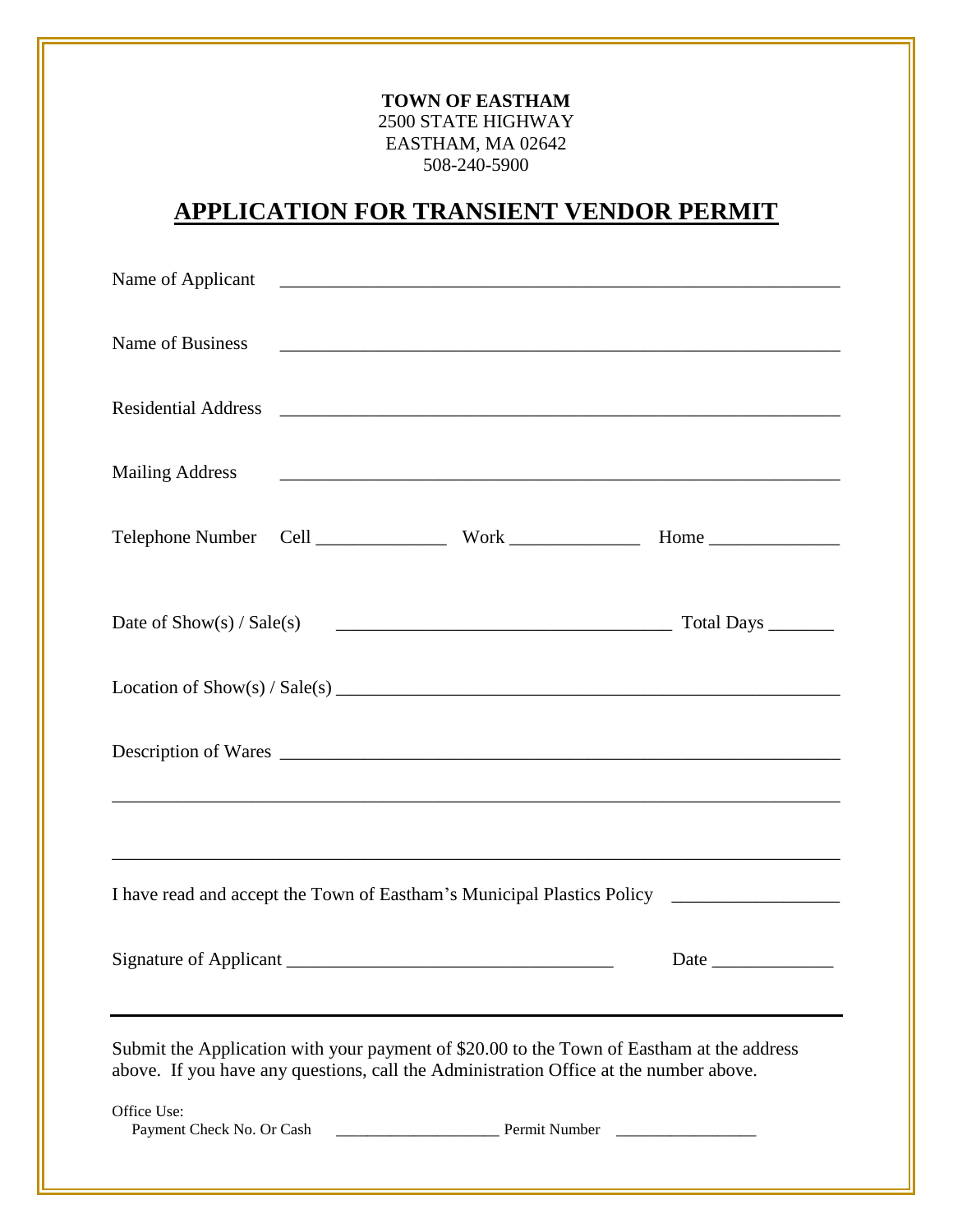# **TOWN OF EASTHAM** 2500 STATE HIGHWAY EASTHAM, MA 02642 508-240-5900

# **APPLICATION FOR TRANSIENT VENDOR PERMIT**

| <b>Mailing Address</b>                                                                                                                                                             |  |               |  |
|------------------------------------------------------------------------------------------------------------------------------------------------------------------------------------|--|---------------|--|
|                                                                                                                                                                                    |  |               |  |
|                                                                                                                                                                                    |  |               |  |
|                                                                                                                                                                                    |  |               |  |
|                                                                                                                                                                                    |  |               |  |
|                                                                                                                                                                                    |  |               |  |
|                                                                                                                                                                                    |  |               |  |
| Submit the Application with your payment of \$20.00 to the Town of Eastham at the address<br>above. If you have any questions, call the Administration Office at the number above. |  |               |  |
| Office Use:<br>Payment Check No. Or Cash                                                                                                                                           |  | Permit Number |  |